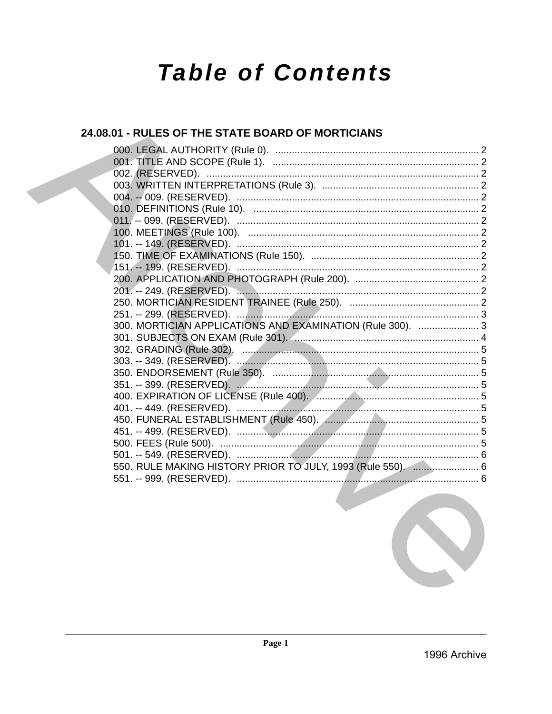# **Table of Contents**

# 24.08.01 - RULES OF THE STATE BOARD OF MORTICIANS

| 300. MORTICIAN APPLICATIONS AND EXAMINATION (Rule 300).  3  |  |
|-------------------------------------------------------------|--|
|                                                             |  |
|                                                             |  |
|                                                             |  |
|                                                             |  |
|                                                             |  |
|                                                             |  |
|                                                             |  |
|                                                             |  |
|                                                             |  |
|                                                             |  |
|                                                             |  |
| 550. RULE MAKING HISTORY PRIOR TO JULY, 1993 (Rule 550).  6 |  |
|                                                             |  |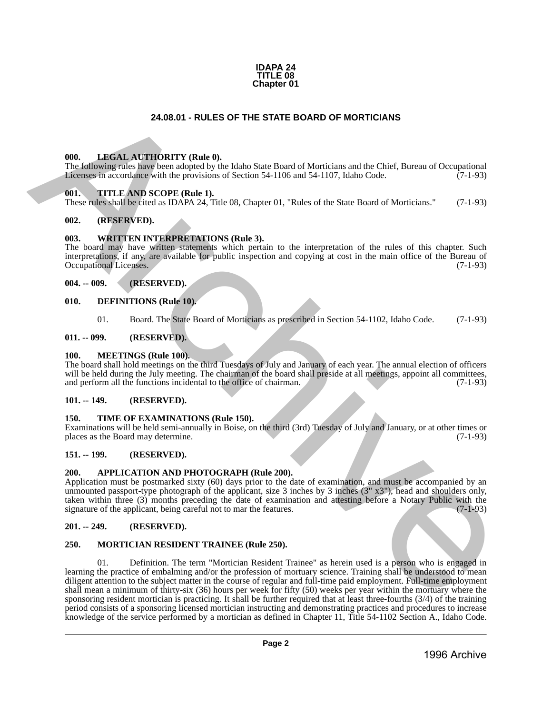

# **24.08.01 - RULES OF THE STATE BOARD OF MORTICIANS**

#### <span id="page-1-1"></span>**000. LEGAL AUTHORITY (Rule 0).**

The following rules have been adopted by the Idaho State Board of Morticians and the Chief, Bureau of Occupational Licenses in accordance with the provisions of Section 54-1106 and 54-1107, Idaho Code. (7-1-93)

#### <span id="page-1-2"></span>**001. TITLE AND SCOPE (Rule 1).**

These rules shall be cited as IDAPA 24, Title 08, Chapter 01, "Rules of the State Board of Morticians." (7-1-93)

# <span id="page-1-3"></span>**002. (RESERVED).**

# <span id="page-1-4"></span>**003. WRITTEN INTERPRETATIONS (Rule 3).**

The board may have written statements which pertain to the interpretation of the rules of this chapter. Such interpretations, if any, are available for public inspection and copying at cost in the main office of the Bureau of Occupational Licenses. (7-1-93) Occupational Licenses.

# <span id="page-1-5"></span>**004. -- 009. (RESERVED).**

#### <span id="page-1-6"></span>**010. DEFINITIONS (Rule 10).**

01. Board. The State Board of Morticians as prescribed in Section 54-1102, Idaho Code. (7-1-93)

#### <span id="page-1-7"></span>**011. -- 099. (RESERVED).**

#### <span id="page-1-8"></span>**100. MEETINGS (Rule 100).**

The board shall hold meetings on the third Tuesdays of July and January of each year. The annual election of officers will be held during the July meeting. The chairman of the board shall preside at all meetings, appoint all committees, and perform all the functions incidental to the office of chairman. (7-1-93) and perform all the functions incidental to the office of chairman.

#### <span id="page-1-9"></span>**101. -- 149. (RESERVED).**

#### <span id="page-1-10"></span>**150. TIME OF EXAMINATIONS (Rule 150).**

Examinations will be held semi-annually in Boise, on the third (3rd) Tuesday of July and January, or at other times or places as the Board may determine.

#### <span id="page-1-11"></span>**151. -- 199. (RESERVED).**

#### <span id="page-1-12"></span>**200. APPLICATION AND PHOTOGRAPH (Rule 200).**

Application must be postmarked sixty (60) days prior to the date of examination, and must be accompanied by an unmounted passport-type photograph of the applicant, size 3 inches by 3 inches (3" x3"), head and shoulders only, taken within three (3) months preceding the date of examination and attesting before a Notary Public with the signature of the applicant, being careful not to mar the features. (7-1-93)

#### <span id="page-1-13"></span>**201. -- 249. (RESERVED).**

#### <span id="page-1-14"></span>**250. MORTICIAN RESIDENT TRAINEE (Rule 250).**

<span id="page-1-0"></span>01. Definition. The term "Mortician Resident Trainee" as herein used is a person who is engaged in learning the practice of embalming and/or the profession of mortuary science. Training shall be understood to mean diligent attention to the subject matter in the course of regular and full-time paid employment. Full-time employment shall mean a minimum of thirty-six (36) hours per week for fifty (50) weeks per year within the mortuary where the sponsoring resident mortician is practicing. It shall be further required that at least three-fourths (3/4) of the training period consists of a sponsoring licensed mortician instructing and demonstrating practices and procedures to increase knowledge of the service performed by a mortician as defined in Chapter 11, Title 54-1102 Section A., Idaho Code. **24.08.01 - RULES OF THE STATE BOARD OF MORTICIANS<br>
THE INTERFERICULT VIEW (Red By Control Comparison)<br>
The following the Control Comparison (Comparison)<br>
The following the Control Control Control Control Comparison (Comp**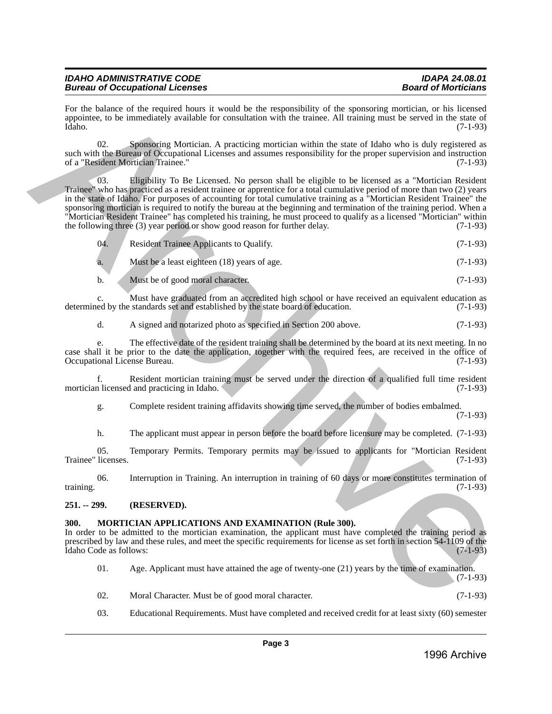| <b>IDAHO ADMINISTRATIVE CODE</b>       | <b>IDAPA 24.08.01</b>      |
|----------------------------------------|----------------------------|
| <b>Bureau of Occupational Licenses</b> | <b>Board of Morticians</b> |

For the balance of the required hours it would be the responsibility of the sponsoring mortician, or his licensed appointee, to be immediately available for consultation with the trainee. All training must be served in the state of Idaho. (7-1-93) Idaho. (7-1-93)

02. Sponsoring Mortician. A practicing mortician within the state of Idaho who is duly registered as such with the Bureau of Occupational Licenses and assumes responsibility for the proper supervision and instruction<br>of a "Resident Mortician Trainee." (7-1-93) of a "Resident Mortician Trainee."

03. Eligibility To Be Licensed. No person shall be eligible to be licensed as a "Mortician Resident Trainee" who has practiced as a resident trainee or apprentice for a total cumulative period of more than two (2) years in the state of Idaho. For purposes of accounting for total cumulative training as a "Mortician Resident Trainee" the sponsoring mortician is required to notify the bureau at the beginning and termination of the training period. When a "Mortician Resident Trainee" has completed his training, he must proceed to qualify as a licensed "Mortician" within the following three (3) year period or show good reason for further delay. (7-1-93) For the batter as the two priorities boost is to solve the responsibile, or the system provides the batter is the baster of the system of the system of the system of the system of the system of the system of the system of

| 04. | Resident Trainee Applicants to Qualify. | $(7-1-93)$ |
|-----|-----------------------------------------|------------|
|     |                                         |            |

Must be a least eighteen (18) years of age. (7-1-93)

b. Must be of good moral character. (7-1-93)

c. Must have graduated from an accredited high school or have received an equivalent education as ed by the standards set and established by the state board of education. (7-1-93) determined by the standards set and established by the state board of education.

d. A signed and notarized photo as specified in Section 200 above. (7-1-93)

e. The effective date of the resident training shall be determined by the board at its next meeting. In no case shall it be prior to the date the application, together with the required fees, are received in the office of Occupational License Bureau. (7-1-93) Occupational License Bureau.

f. Resident mortician training must be served under the direction of a qualified full time resident mortician licensed and practicing in Idaho.

g. Complete resident training affidavits showing time served, the number of bodies embalmed.

(7-1-93)

h. The applicant must appear in person before the board before licensure may be completed. (7-1-93)

05. Temporary Permits. Temporary permits may be issued to applicants for "Mortician Resident licenses. (7-1-93) Trainee" licenses.

06. Interruption in Training. An interruption in training of 60 days or more constitutes termination of training.  $(7-1-93)$ 

# <span id="page-2-0"></span>**251. -- 299. (RESERVED).**

# <span id="page-2-1"></span>**300. MORTICIAN APPLICATIONS AND EXAMINATION (Rule 300).**

In order to be admitted to the mortician examination, the applicant must have completed the training period as prescribed by law and these rules, and meet the specific requirements for license as set forth in section 54-1109 of the Idaho Code as follows: (7-1-93) Idaho Code as follows:

01. Age. Applicant must have attained the age of twenty-one (21) years by the time of examination. (7-1-93)

- 02. Moral Character. Must be of good moral character. (7-1-93)
- 03. Educational Requirements. Must have completed and received credit for at least sixty (60) semester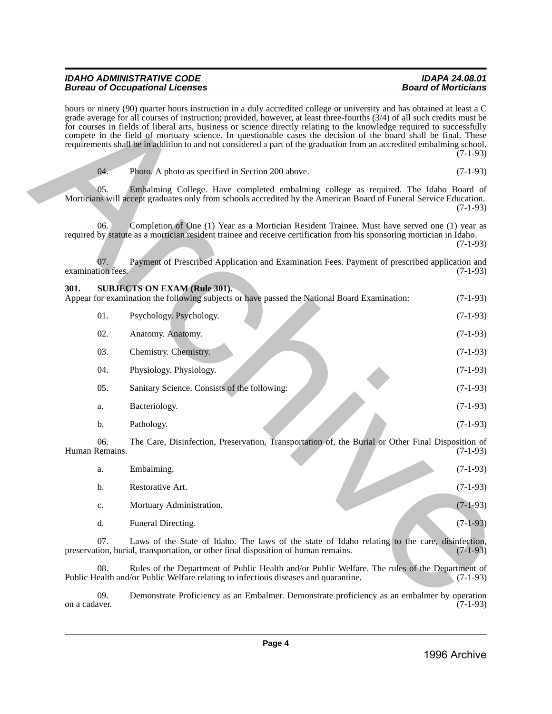| <b>IDAHO ADMINISTRATIVE CODE</b>       | IDAPA 24.08.01             |
|----------------------------------------|----------------------------|
| <b>Bureau of Occupational Licenses</b> | <b>Board of Morticians</b> |

|  | Photo. A photo as specified in Section 200 above. | $(7-1-93)$ |
|--|---------------------------------------------------|------------|

<span id="page-3-0"></span>

|                  |  | $(7-1-93)$                                                                                    |
|------------------|--|-----------------------------------------------------------------------------------------------|
|                  |  | Payment of Prescribed Application and Examination Fees. Payment of prescribed application and |
| avamination foos |  |                                                                                               |

|                          |     | hours or ninety (90) quarter hours instruction in a duly accredited college or university and has obtained at least a C<br>grade average for all courses of instruction; provided, however, at least three-fourths (3/4) of all such credits must be<br>for courses in fields of liberal arts, business or science directly relating to the knowledge required to successfully<br>compete in the field of mortuary science. In questionable cases the decision of the board shall be final. These<br>requirements shall be in addition to and not considered a part of the graduation from an accredited embalming school. | $(7-1-93)$ |
|--------------------------|-----|----------------------------------------------------------------------------------------------------------------------------------------------------------------------------------------------------------------------------------------------------------------------------------------------------------------------------------------------------------------------------------------------------------------------------------------------------------------------------------------------------------------------------------------------------------------------------------------------------------------------------|------------|
|                          |     |                                                                                                                                                                                                                                                                                                                                                                                                                                                                                                                                                                                                                            |            |
|                          | 04. | Photo. A photo as specified in Section 200 above.                                                                                                                                                                                                                                                                                                                                                                                                                                                                                                                                                                          | $(7-1-93)$ |
| 05.                      |     | Embalming College. Have completed embalming college as required. The Idaho Board of<br>Morticians will accept graduates only from schools accredited by the American Board of Funeral Service Education.                                                                                                                                                                                                                                                                                                                                                                                                                   | $(7-1-93)$ |
|                          | 06. | Completion of One (1) Year as a Mortician Resident Trainee. Must have served one (1) year as<br>required by statute as a mortician resident trainee and receive certification from his sponsoring mortician in Idaho.                                                                                                                                                                                                                                                                                                                                                                                                      | $(7-1-93)$ |
| 07.<br>examination fees. |     | Payment of Prescribed Application and Examination Fees. Payment of prescribed application and                                                                                                                                                                                                                                                                                                                                                                                                                                                                                                                              | $(7-1-93)$ |
| 301.                     |     | <b>SUBJECTS ON EXAM (Rule 301).</b><br>Appear for examination the following subjects or have passed the National Board Examination:                                                                                                                                                                                                                                                                                                                                                                                                                                                                                        | $(7-1-93)$ |
|                          | 01. | Psychology. Psychology.                                                                                                                                                                                                                                                                                                                                                                                                                                                                                                                                                                                                    | $(7-1-93)$ |
| 02.                      |     | Anatomy. Anatomy.                                                                                                                                                                                                                                                                                                                                                                                                                                                                                                                                                                                                          | $(7-1-93)$ |
|                          | 03. | Chemistry. Chemistry.                                                                                                                                                                                                                                                                                                                                                                                                                                                                                                                                                                                                      | $(7-1-93)$ |
|                          | 04. | Physiology. Physiology.                                                                                                                                                                                                                                                                                                                                                                                                                                                                                                                                                                                                    | $(7-1-93)$ |
| 05.                      |     | Sanitary Science. Consists of the following:                                                                                                                                                                                                                                                                                                                                                                                                                                                                                                                                                                               | $(7-1-93)$ |
| a.                       |     | Bacteriology.                                                                                                                                                                                                                                                                                                                                                                                                                                                                                                                                                                                                              | $(7-1-93)$ |
| b.                       |     | Pathology.                                                                                                                                                                                                                                                                                                                                                                                                                                                                                                                                                                                                                 | $(7-1-93)$ |
| 06.<br>Human Remains.    |     | The Care, Disinfection, Preservation, Transportation of, the Burial or Other Final Disposition of                                                                                                                                                                                                                                                                                                                                                                                                                                                                                                                          | $(7-1-93)$ |
| a.                       |     | Embalming.                                                                                                                                                                                                                                                                                                                                                                                                                                                                                                                                                                                                                 | $(7-1-93)$ |
| b.                       |     | Restorative Art.                                                                                                                                                                                                                                                                                                                                                                                                                                                                                                                                                                                                           | $(7-1-93)$ |
| c.                       |     | Mortuary Administration.                                                                                                                                                                                                                                                                                                                                                                                                                                                                                                                                                                                                   | $(7-1-93)$ |
| d.                       |     | Funeral Directing.                                                                                                                                                                                                                                                                                                                                                                                                                                                                                                                                                                                                         | $(7-1-93)$ |
|                          | 07. | Laws of the State of Idaho. The laws of the state of Idaho relating to the care, disinfection,<br>preservation, burial, transportation, or other final disposition of human remains.                                                                                                                                                                                                                                                                                                                                                                                                                                       | $(7-1-93)$ |
|                          | 08. | Rules of the Department of Public Health and/or Public Welfare. The rules of the Department of<br>Public Health and/or Public Welfare relating to infectious diseases and quarantine.                                                                                                                                                                                                                                                                                                                                                                                                                                      | $(7-1-93)$ |
|                          | 09. | Demonstrate Proficiency as an Embalmer. Demonstrate proficiency as an embalmer by operation                                                                                                                                                                                                                                                                                                                                                                                                                                                                                                                                |            |

09. Demonstrate Proficiency as an Embalmer. Demonstrate proficiency as an embalmer by operation on a cadaver. (7-1-93) on a cadaver.  $(7-1-93)$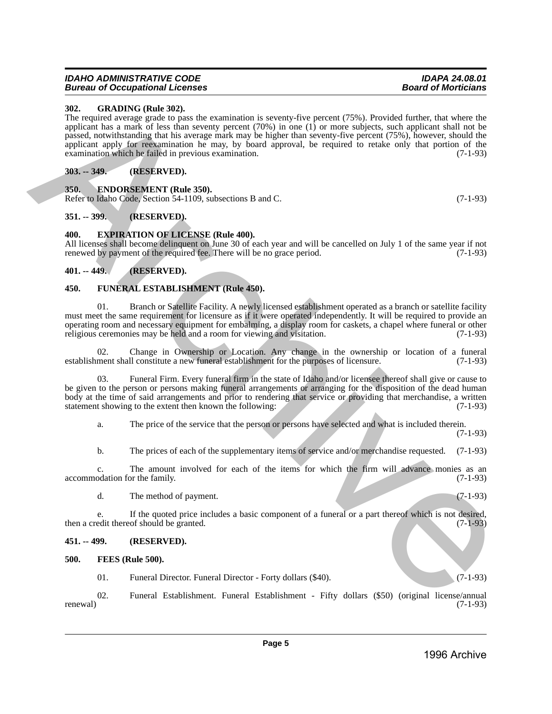#### <span id="page-4-0"></span>*IDAHO ADMINISTRATIVE CODE IDAPA 24.08.01* **Bureau of Occupational Licenses**

The required average grade to pass the examination is seventy-five percent (75%). Provided further, that where the applicant has a mark of less than seventy percent (70%) in one (1) or more subjects, such applicant shall not be passed, notwithstanding that his average mark may be higher than seventy-five percent (75%), however, should the applicant apply for reexamination he may, by board approval, be required to retake only that portion of the examination which he failed in previous examination. (7-1-93) 30. GRAINING (1886-302).<br>
The required section goals to peace the constitution is evently disc general (32%). Provided further that shows<br>
posted section goals for the constitution of the two constraints in the constraint

# <span id="page-4-1"></span>**303. -- 349. (RESERVED).**

# <span id="page-4-2"></span>**350. ENDORSEMENT (Rule 350).**

Refer to Idaho Code, Section 54-1109, subsections B and C. (7-1-93)

# <span id="page-4-3"></span>**351. -- 399. (RESERVED).**

# <span id="page-4-4"></span>**400. EXPIRATION OF LICENSE (Rule 400).**

All licenses shall become delinquent on June 30 of each year and will be cancelled on July 1 of the same year if not renewed by payment of the required fee. There will be no grace period. (7-1-93) renewed by payment of the required fee. There will be no grace period.

# <span id="page-4-5"></span>**401. -- 449. (RESERVED).**

# <span id="page-4-6"></span>**450. FUNERAL ESTABLISHMENT (Rule 450).**

01. Branch or Satellite Facility. A newly licensed establishment operated as a branch or satellite facility must meet the same requirement for licensure as if it were operated independently. It will be required to provide an operating room and necessary equipment for embalming, a display room for caskets, a chapel where funeral or other<br>religious ceremonies may be held and a room for viewing and visitation. (7-1-93) religious ceremonies may be held and a room for viewing and visitation.

Change in Ownership or Location. Any change in the ownership or location of a funeral ll constitute a new funeral establishment for the purposes of licensure.  $(7-1-93)$ establishment shall constitute a new funeral establishment for the purposes of licensure.

Funeral Firm. Every funeral firm in the state of Idaho and/or licensee thereof shall give or cause to be given to the person or persons making funeral arrangements or arranging for the disposition of the dead human body at the time of said arrangements and prior to rendering that service or providing that merchandise, a written statement showing to the extent then known the following: (7-1-93)

a. The price of the service that the person or persons have selected and what is included therein. (7-1-93)

b. The prices of each of the supplementary items of service and/or merchandise requested. (7-1-93)

c. The amount involved for each of the items for which the firm will advance monies as an odation for the family. (7-1-93) accommodation for the family.

d. The method of payment. (7-1-93)

e. If the quoted price includes a basic component of a funeral or a part thereof which is not desired,<br>edit thereof should be granted. (7-1-93) then a credit thereof should be granted.

# <span id="page-4-7"></span>**451. -- 499. (RESERVED).**

#### <span id="page-4-8"></span>**500. FEES (Rule 500).**

01. Funeral Director. Funeral Director - Forty dollars (\$40). (7-1-93)

02. Funeral Establishment. Funeral Establishment - Fifty dollars (\$50) (original license/annual renewal)  $(7-1-93)$ 

**Page 5**